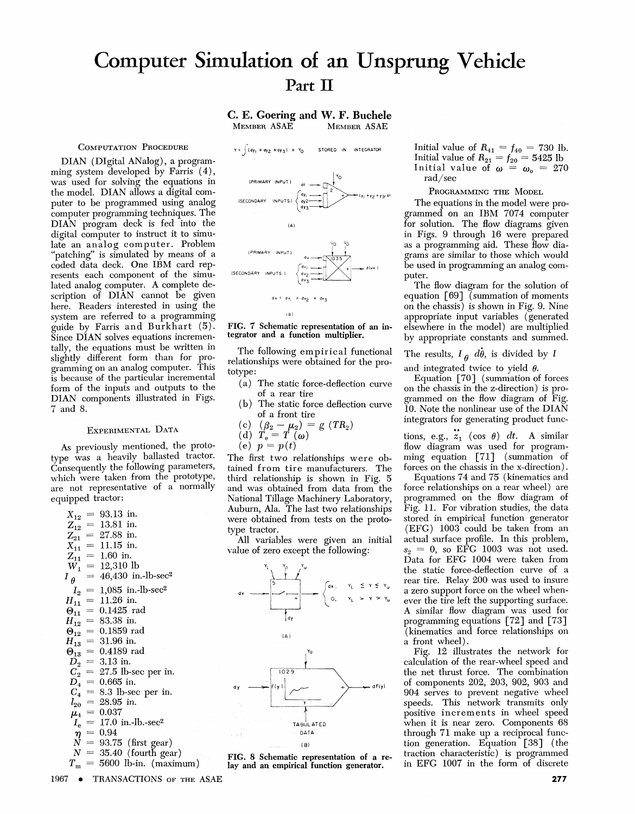# **Computer Simulation of an Unsprung Vehicle Part II**

**C. E. Goering and W. F. Buchele** MEMBER ASAE

 $Y = \int (dy_1 + dy_2 + dy_3) + Y_0$ 

STORED IN INTEGRATOR

## COMPUTATION PROCEDURE

DIAN (Digital ANalog), a programming system developed by Farris  $(4)$ , was used for solving the equations in the model. DIAN allows a digital computer to be programmed using analog computer programming techniques. The DIAN program deck is fed into the digital computer to instruct it to simulate an analog computer. Problem 'patching" is simulated by means of a coded data deck. One IBM card represents each component of the simulated analog computer. A complete description of DIAN cannot be given here. Readers interested in using the system are referred to a programming guide by Farris and Burkhart (5). Since DIAN solves equations incrementally, the equations must be written in slightly different form than for programming on an analog computer. This is because of the particular incremental form of the inputs and outputs to the DIAN components illustrated in Figs. 7 and 8.

# EXPERIMENTAL DATA

As previously mentioned, the prototype was a heavily ballasted tractor. Consequently the following parameters, which were taken from the prototype, are not representative of a normally equipped tractor:

$$
X_{12} = 93.13 \text{ in.}
$$
\n
$$
Z_{12} = 13.81 \text{ in.}
$$
\n
$$
Z_{21} = 27.88 \text{ in.}
$$
\n
$$
X_{11} = 11.15 \text{ in.}
$$
\n
$$
Z_{11} = 1.60 \text{ in.}
$$
\n
$$
W_1 = 12,310 \text{ lb}
$$
\n
$$
I_{\theta} = 46,430 \text{ in.} \text{lb-sec}^2
$$
\n
$$
I_2 = 1,085 \text{ in.} \text{lb-sec}^2
$$
\n
$$
I_1 = 11.26 \text{ in.}
$$
\n
$$
W_{11} = 0.1425 \text{ rad}
$$
\n
$$
H_{12} = 83.38 \text{ in.}
$$
\n
$$
W_{12} = 0.1859 \text{ rad}
$$
\n
$$
H_{13} = 31.96 \text{ in.}
$$
\n
$$
W_{13} = 0.4189 \text{ rad}
$$
\n
$$
D_2 = 3.13 \text{ in.}
$$
\n
$$
C_2 = 27.5 \text{ lb-sec per in.}
$$
\n
$$
D_4 = 0.665 \text{ in.}
$$
\n
$$
C_4 = 8.3 \text{ lb-sec per in.}
$$
\n
$$
I_{20} = 28.95 \text{ in.}
$$
\n
$$
\mu_4 = 0.037
$$
\n
$$
I_e = 17.0 \text{ in.} \text{lb-sec}^2
$$
\n
$$
\eta = 0.94
$$
\n
$$
N = 93.75 \text{ (first gear)}
$$
\n
$$
N = 35.40 \text{ (fourth gear)}
$$
\n
$$
T_m = 5600 \text{ lb-in.}
$$
\n
$$
(maximum)
$$



#### FIG. 7 Schematic representation of an integrator and a function multiplier.

The following empirical functional relationships were obtained for the prototype:

- (a) The static force-deflection curve of a rear tire
- ( b) The static force deflection curve of a front tire

(c) 
$$
(\beta_2 - \mu_2) = g (TR_2)
$$

(d) 
$$
T_e = T(\omega)
$$

(e)  $p = p(t)$ 

The first two relationships were obtained from tire manufacturers. The third relationship is shown in Fig. 5 and was obtained from data from the National Tillage Machinery Laboratory, Auburn, Ala. The last two relationships were obtained from tests on the prototype tractor.

All variables were given an initial value of zero except the following:



FIG. 8 Schematic representation of a re- lay and an empirical function generator.

Initial value of  $R_{41} = f_{40} = 730$  lb. Initial value of  $R_{21} = f_{20} = 5425$  lb Initial value of  $\omega = \omega_0 = 270$ rad/sec

#### PROGRAMMING THE MODEL

The equations in the model were programmed on an IBM 7074 computer for solution. The flow diagrams given in Figs. 9 through 16 were prepared as a programming aid. These flow diagrams are similar to those which would be used in programming an analog computer.

The flow diagram for the solution of equation [69] (summation of moments on the chassis) is shown in Fig. 9. Nine appropriate input variables (generated elsewhere in the model) are multiplied by appropriate constants and summed.

The results,  $I_{\theta}$   $d\theta$ , is divided by *I* 

and integrated twice to yield  $\theta$ .

Equation [70] (summation of forces on the chassis in the z-direction) is programmed on the flow diagram of Fig. 10. Note the nonlinear use of the DIAN integrators for generating product func-

tions, e.g.,  $z_1$  (cos  $\theta$ ) dt. A similar flow diagram was used for programming equation [71] (summation of forces on the chassis in the x-direction).

Equations 74 and 75 (kinematics and force relationships on a rear wheel) are programmed on the flow diagram of Fig. 11. For vibration studies, the data stored in empirical function generator (EFG) 1003 could be taken from an actual surface profile. In this problem,  $s_2 = 0$ , so EFG 1003 was not used. Data for EFG 1004 were taken from the static force-deflection curve of a rear tire. Relay 200 was used to insure a zero support force on the wheel whenever the tire left the supporting surface. A similar flow diagram was used for programming equations [72] and [73] (kinematics and force relationships on a front wheel).

Fig. 12 illustrates the network for calculation of the rear-wheel speed and the net thrust force. The combination of components 202, 203, 902, 903 and 904 serves to prevent negative wheel speeds. This network transmits only positive increments in wheel speed when it is near zero. Components 68 through 71 make up a reciprocal function generation. Equation [38] (the traction characteristic) is programmed in EFG 1007 in the form of discrete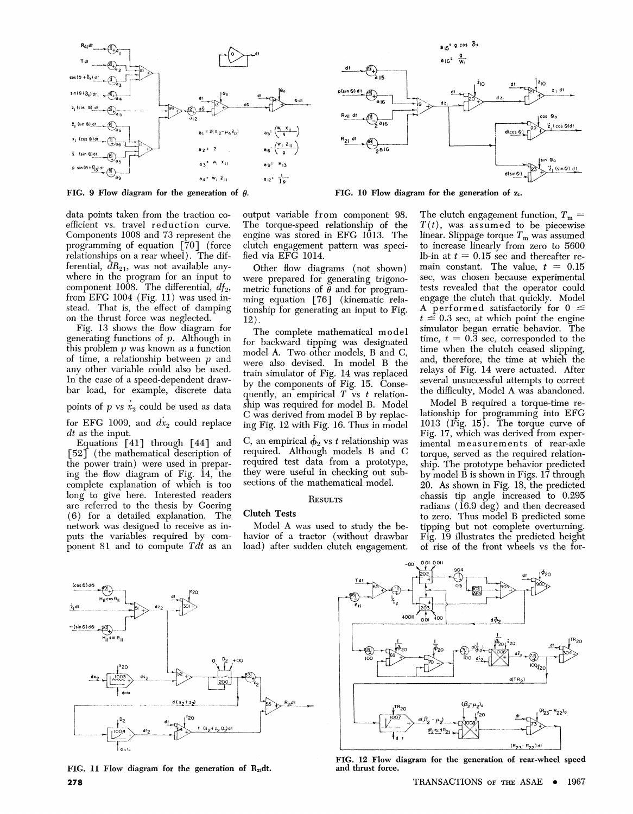





data points taken from the traction coefficient vs. travel reduction curve. Components 1008 and 73 represent the programming of equation [70] (force relationships on a rear wheel). The differential,  $dR_{21}$ , was not available anywhere in the program for an input to component 1008. The differential,  $df_2$ , from EFG 1004 (Fig. 11) was used instead. That is, the effect of damping on the thrust force was neglected.

Fig. 13 shows the flow diagram for generating functions of  $p$ . Although in this problem  $p$  was known as a function of time, a relationship between  $p$  and any other variable could also be used. In the case of a speed-dependent drawbar load, for example, discrete data points of  $p$  vs  $\dot{x}_2$  could be used as data for EFG 1009, and  $dx_2$  could replace

*dt* as the input. Equations [41] through [44] and

[ 52] (the mathematical description of the power train) were used in preparing the flow diagram of Fig. 14, the complete explanation of which is too long to give here. Interested readers are referred to the thesis by Goering ( 6) for a detailed explanation. The network was designed to receive as inputs the variables required by component 81 and to compute *Tdt* as an output variable from component 98. The torque-speed relationship of the engine was stored in EFG 1013. The clutch engagement pattern was specified via EFG 1014.

Other flow diagrams (not shown) were prepared for generating trigonometric functions of  $\theta$  and for programming equation [76] (kinematic relationship for generating an input to Fig. 12).

The complete mathematical model for backward tipping was designated model A. Two other models, B and C, were also devised. In model B the train simulator of Fig. 14 was replaced by the components of Fig. 15. Consequently, an empirical  $T$  vs  $t$  relationship was required for model B. Model C was derived from model B by replacing Fig. 12 with Fig. 16. Thus in model

C, an empirical  $\dot{\phi}_2$  vs t relationship was required. Although models B and C required test data from a prototype, they were useful in checking out subsections of the mathematical model.

#### **RESULTS**

# Clutch Tests

Model A was used to study the behavior of a tractor (without drawbar load) after sudden clutch engagement. The clutch engagement function,  $T_m = T(t)$ , was assumed to be piecewise linear. Slippage torque  $T_m$  was assumed to increase linearly from zero to 5600 lb-in at  $t = 0.15$  sec and thereafter remain constant. The value,  $t = 0.15$ sec, was chosen because experimental tests revealed that the operator could engage the clutch that quickly. Model A performed satisfactorily for  $0 \leq$  $t \leq 0.3$  sec, at which point the engine simulator began erratic behavior. The time,  $t = 0.\overline{3}$  sec, corresponded to the time when the clutch ceased slipping, and, therefore, the time at which the relays of Fig. 14 were actuated. After several unsuccessful attempts to correct the difficulty, Model A was abandoned.

Model B required a torque-time relationship for programming into EFG 1013 (Fig. 15). The torque curve of Fig. 17, which was derived from experimental measurements of rear-axle torque, served as the required relationship. The prototype behavior predicted by model  $\hat{B}$  is shown in Figs. 17 through 20. As shown in Fig. 18, the predicted chassis tip angle increased to 0.295 radians  $(16.9 \text{ deg})$  and then decreased to zero. Thus model B predicted some tipping but not complete overturning. Fig. 19 illustrates the predicted height of rise of the front wheels vs the for-



FIG. 11 Flow diagram for the generation of  $R_{21}$ dt. **278** 



FIG. 12 Flow diagram for the generation of rear-wheel speed and thrust force.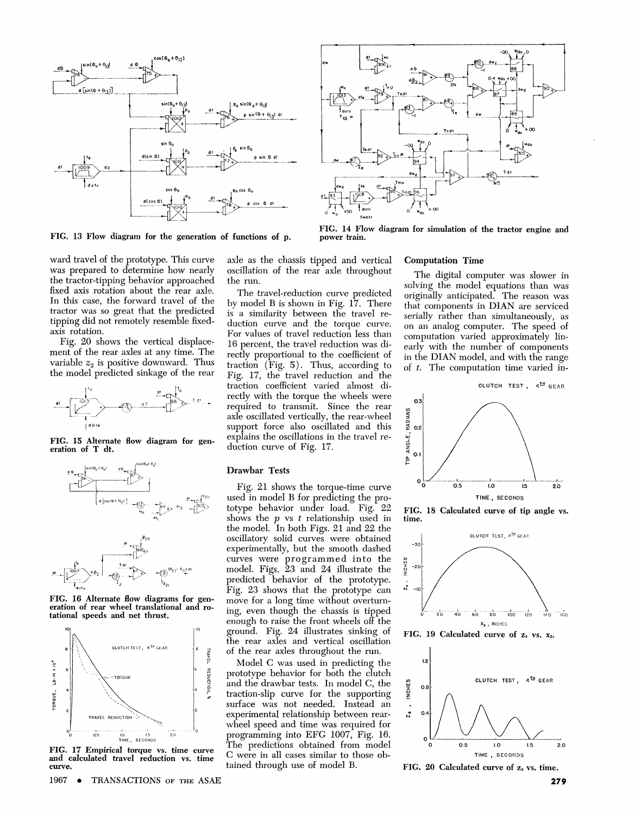

FIG. 13 Flow diagram for the generation of functions of p.



FIG. 14 Flow diagram for simulation of the tractor engine and power train.

ward travel of the prototype. This curve was prepared to determine how nearly the tractor-tipping behavior approached fixed axis rotation about the rear axle. In this case, the forward travel of the tractor was so great that the predicted tipping did not remotely resemble fixedaxis rotation.

Fig. 20 shows the vertical displacement of the rear axles at any time. The variable  $z_2$  is positive downward. Thus the model predicted sinkage of the rear



FIG. 15 Alternate flow diagram for generation of T dt.



FIG. 16 Alternate How diagrams for generation of rear wheel translational and ro- tational speeds and net thrust.



FIG. 17 Empirical torque vs. time curve and calculated travel reduction vs. time curve.

axle as the chassis tipped and vertical oscillation of the rear axle throughout the run.

The travel-reduction curve predicted by model B is shown in Fig. 17. There is a similarity between the travel reduction curve and the torque curve. For values of travel reduction less than 16 percent, the travel reduction was directly proportional to the coefficient of traction  $(Fig. 5)$ . Thus, according to Fig. 17, the travel reduction and the traction coefficient varied almost directly with the torque the wheels were required to transmit. Since the rear axle oscillated vertically, the rear-wheel support force also oscillated and this explains the oscillations in the travel reduction curve of Fig. 17.

#### Drawbar Tests

Fig. 21 shows the torque-time curve used in model B for predicting the prototype behavior under load. Fig. 22 shows the p vs *t* relationship used in the model. In both Figs. 21 and 22 the oscillatory solid curves were obtained experimentally, but the smooth dashed curves were programmed into the model. Figs. 23 and 24 illustrate the predicted behavior of the prototype. Fig. 23 shows that the prototype can move for a long time without overturning, even though the chassis is tipped enough to raise the front wheels off the ground. Fig. 24 illustrates sinking of the rear axles and vertical oscillation of the rear axles throughout the run.

Model C was used in predicting the prototype behavior for both the clutch and the drawbar tests. In model C, the traction-slip curve for the supporting surface was not needed. Instead an experimental relationship between rearwheel speed and time was required for programming into EFG 1007, Fig. 16. The predictions obtained from model C were in all cases similar to those obtained through use of model B.

#### Computation Time

The digital computer was slower in solving the model equations than was originally anticipated. The reason was that components in DIAN are serviced serially rather than simultaneously, as on an analog computer. The speed of computation varied approximately linearly with the number of components in the DIAN model, and with the range of *t.* The computation time varied in-



FIG. 18 Calculated curve of tip angle vs. time.



FIG. 19 Calculated curve of  $z_4$  vs.  $x_2$ .



FIG. 20 Calculated curve of  $z_2$  vs. time.